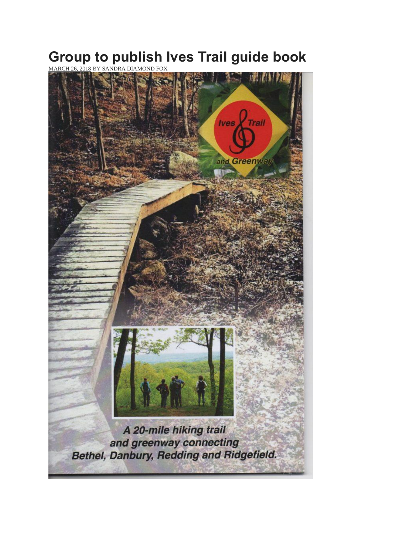## **Group to publish Ives Trail guide book**

[MARCH](https://www.theridgefieldpress.com/104797-group-to-publish-ives-trail-guide-book/) 26, 2018 BY SANDRA [DIAMOND](https://www.theridgefieldpress.com/author/hersam-acorn/) FOX

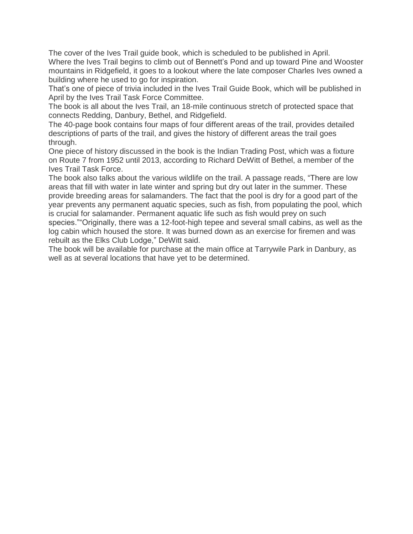The cover of the Ives Trail guide book, which is scheduled to be published in April. Where the Ives Trail begins to climb out of Bennett's Pond and up toward Pine and Wooster mountains in Ridgefield, it goes to a lookout where the late composer Charles Ives owned a building where he used to go for inspiration.

That's one of piece of trivia included in the Ives Trail Guide Book, which will be published in April by the Ives Trail Task Force Committee.

The book is all about the Ives Trail, an 18-mile continuous stretch of protected space that connects Redding, Danbury, Bethel, and Ridgefield.

The 40-page book contains four maps of four different areas of the trail, provides detailed descriptions of parts of the trail, and gives the history of different areas the trail goes through.

One piece of history discussed in the book is the Indian Trading Post, which was a fixture on Route 7 from 1952 until 2013, according to Richard DeWitt of Bethel, a member of the Ives Trail Task Force.

The book also talks about the various wildlife on the trail. A passage reads, "There are low areas that fill with water in late winter and spring but dry out later in the summer. These provide breeding areas for salamanders. The fact that the pool is dry for a good part of the year prevents any permanent aquatic species, such as fish, from populating the pool, which is crucial for salamander. Permanent aquatic life such as fish would prey on such

species.""Originally, there was a 12-foot-high tepee and several small cabins, as well as the log cabin which housed the store. It was burned down as an exercise for firemen and was rebuilt as the Elks Club Lodge," DeWitt said.

The book will be available for purchase at the main office at Tarrywile Park in Danbury, as well as at several locations that have yet to be determined.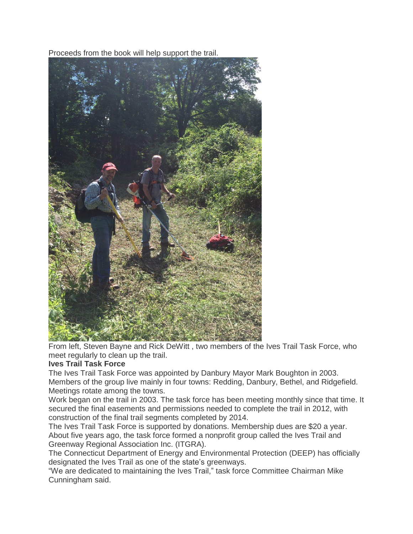Proceeds from the book will help support the trail.



From left, Steven Bayne and Rick DeWitt , two members of the Ives Trail Task Force, who meet regularly to clean up the trail.

## **Ives Trail Task Force**

The Ives Trail Task Force was appointed by Danbury Mayor Mark Boughton in 2003. Members of the group live mainly in four towns: Redding, Danbury, Bethel, and Ridgefield. Meetings rotate among the towns.

Work began on the trail in 2003. The task force has been meeting monthly since that time. It secured the final easements and permissions needed to complete the trail in 2012, with construction of the final trail segments completed by 2014.

The Ives Trail Task Force is supported by donations. Membership dues are \$20 a year. About five years ago, the task force formed a nonprofit group called the Ives Trail and Greenway Regional Association Inc. (ITGRA).

The Connecticut Department of Energy and Environmental Protection (DEEP) has officially designated the Ives Trail as one of the state's greenways.

"We are dedicated to maintaining the Ives Trail," task force Committee Chairman Mike Cunningham said.